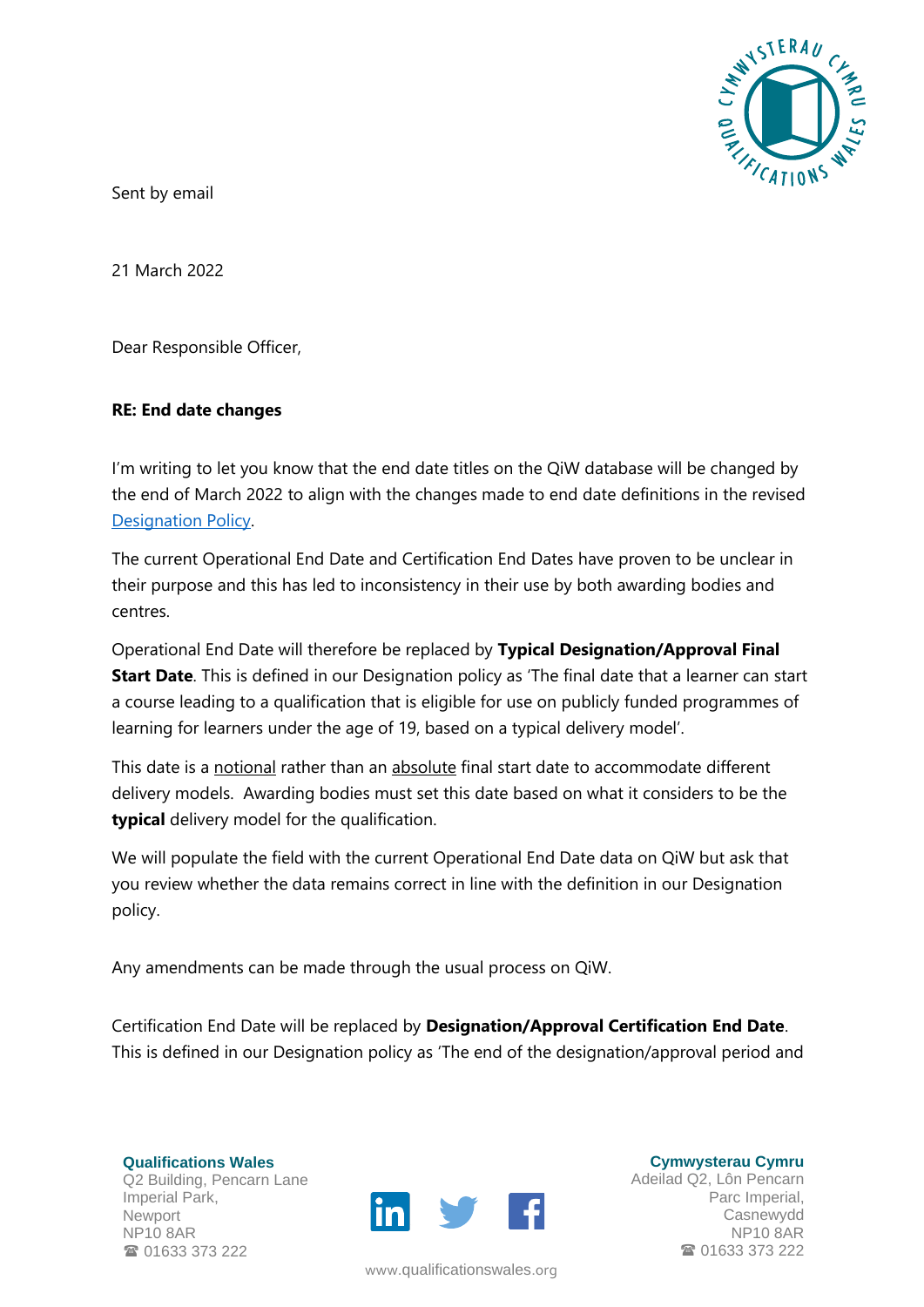

Sent by email

21 March 2022

Dear Responsible Officer,

## **RE: End date changes**

I'm writing to let you know that the end date titles on the QiW database will be changed by the end of March 2022 to align with the changes made to end date definitions in the revised [Designation Policy.](https://qualificationswales.org/english/publications/designation-policy/)

The current Operational End Date and Certification End Dates have proven to be unclear in their purpose and this has led to inconsistency in their use by both awarding bodies and centres.

Operational End Date will therefore be replaced by **Typical Designation/Approval Final Start Date**. This is defined in our Designation policy as 'The final date that a learner can start a course leading to a qualification that is eligible for use on publicly funded programmes of learning for learners under the age of 19, based on a typical delivery model'.

This date is a notional rather than an absolute final start date to accommodate different delivery models. Awarding bodies must set this date based on what it considers to be the **typical** delivery model for the qualification.

We will populate the field with the current Operational End Date data on QiW but ask that you review whether the data remains correct in line with the definition in our Designation policy.

Any amendments can be made through the usual process on QiW.

Certification End Date will be replaced by **Designation/Approval Certification End Date**. This is defined in our Designation policy as 'The end of the designation/approval period and

**Qualifications Wales** Q2 Building, Pencarn Lane Imperial Park, Newport NP10 8AR **雷 01633 373 222** 



www.[qualificationswales](http://qualificationswales.org/Splash).org

**Cymwysterau Cymru** Adeilad Q2, Lôn Pencarn Parc Imperial, Casnewydd NP10 8AR ■ 01633 373 222